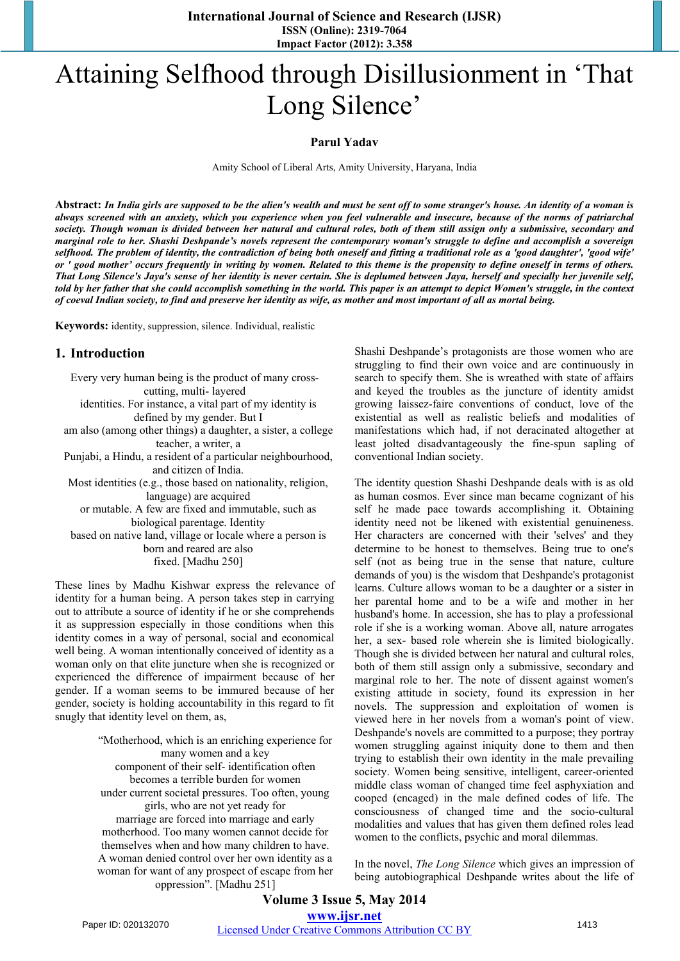**International Journal of Science and Research (IJSR) ISSN (Online): 2319-7064 Impact Factor (2012): 3.358** 

# Attaining Selfhood through Disillusionment in 'That Long Silence'

#### **Parul Yadav**

Amity School of Liberal Arts, Amity University, Haryana, India

**Abstract:** *In India girls are supposed to be the alien's wealth and must be sent off to some stranger's house. An identity of a woman is always screened with an anxiety, which you experience when you feel vulnerable and insecure, because of the norms of patriarchal society. Though woman is divided between her natural and cultural roles, both of them still assign only a submissive, secondary and marginal role to her. Shashi Deshpande's novels represent the contemporary woman's struggle to define and accomplish a sovereign selfhood. The problem of identity, the contradiction of being both oneself and fitting a traditional role as a 'good daughter', 'good wife' or ' good mother' occurs frequently in writing by women. Related to this theme is the propensity to define oneself in terms of others. That Long Silence's Jaya's sense of her identity is never certain. She is deplumed between Jaya, herself and specially her juvenile self, told by her father that she could accomplish something in the world. This paper is an attempt to depict Women's struggle, in the context of coeval Indian society, to find and preserve her identity as wife, as mother and most important of all as mortal being.*

**Keywords:** identity, suppression, silence. Individual, realistic

#### **1. Introduction**

Every very human being is the product of many crosscutting, multi- layered identities. For instance, a vital part of my identity is defined by my gender. But I am also (among other things) a daughter, a sister, a college teacher, a writer, a Punjabi, a Hindu, a resident of a particular neighbourhood, and citizen of India. Most identities (e.g., those based on nationality, religion, language) are acquired or mutable. A few are fixed and immutable, such as biological parentage. Identity based on native land, village or locale where a person is born and reared are also

fixed. [Madhu 250]

These lines by Madhu Kishwar express the relevance of identity for a human being. A person takes step in carrying out to attribute a source of identity if he or she comprehends it as suppression especially in those conditions when this identity comes in a way of personal, social and economical well being. A woman intentionally conceived of identity as a woman only on that elite juncture when she is recognized or experienced the difference of impairment because of her gender. If a woman seems to be immured because of her gender, society is holding accountability in this regard to fit snugly that identity level on them, as,

> "Motherhood, which is an enriching experience for many women and a key component of their self- identification often becomes a terrible burden for women under current societal pressures. Too often, young girls, who are not yet ready for marriage are forced into marriage and early motherhood. Too many women cannot decide for themselves when and how many children to have. A woman denied control over her own identity as a woman for want of any prospect of escape from her oppression". [Madhu 251]

Shashi Deshpande's protagonists are those women who are struggling to find their own voice and are continuously in search to specify them. She is wreathed with state of affairs and keyed the troubles as the juncture of identity amidst growing laissez-faire conventions of conduct, love of the existential as well as realistic beliefs and modalities of manifestations which had, if not deracinated altogether at least jolted disadvantageously the fine-spun sapling of conventional Indian society.

The identity question Shashi Deshpande deals with is as old as human cosmos. Ever since man became cognizant of his self he made pace towards accomplishing it. Obtaining identity need not be likened with existential genuineness. Her characters are concerned with their 'selves' and they determine to be honest to themselves. Being true to one's self (not as being true in the sense that nature, culture demands of you) is the wisdom that Deshpande's protagonist learns. Culture allows woman to be a daughter or a sister in her parental home and to be a wife and mother in her husband's home. In accession, she has to play a professional role if she is a working woman. Above all, nature arrogates her, a sex- based role wherein she is limited biologically. Though she is divided between her natural and cultural roles, both of them still assign only a submissive, secondary and marginal role to her. The note of dissent against women's existing attitude in society, found its expression in her novels. The suppression and exploitation of women is viewed here in her novels from a woman's point of view. Deshpande's novels are committed to a purpose; they portray women struggling against iniquity done to them and then trying to establish their own identity in the male prevailing society. Women being sensitive, intelligent, career-oriented middle class woman of changed time feel asphyxiation and cooped (encaged) in the male defined codes of life. The consciousness of changed time and the socio-cultural modalities and values that has given them defined roles lead women to the conflicts, psychic and moral dilemmas.

In the novel, *The Long Silence* which gives an impression of being autobiographical Deshpande writes about the life of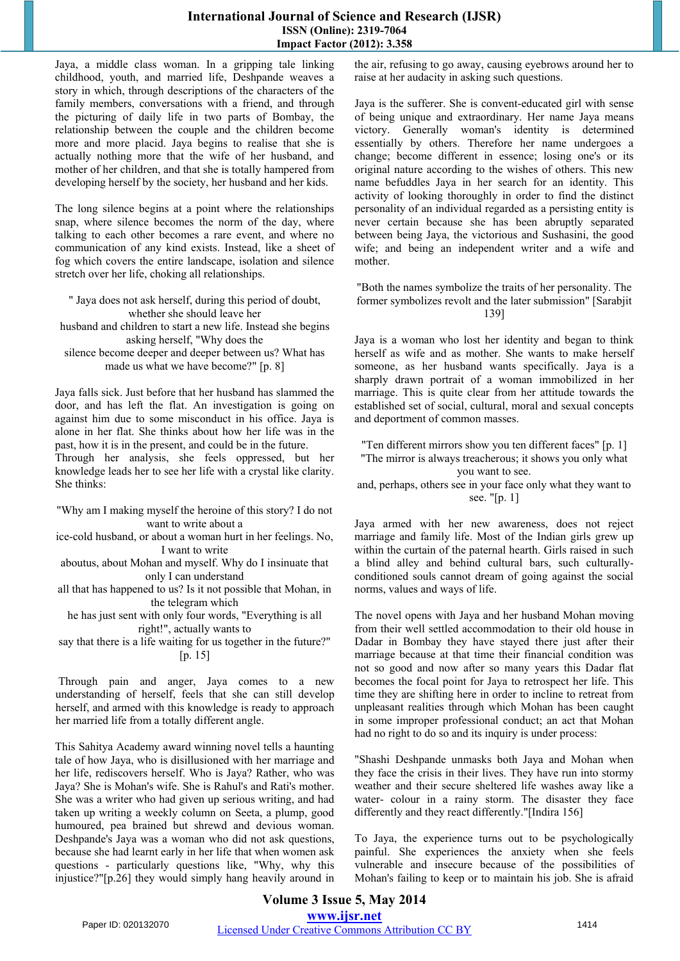#### **International Journal of Science and Research (IJSR) ISSN (Online): 2319-7064 Impact Factor (2012): 3.358**

Jaya, a middle class woman. In a gripping tale linking childhood, youth, and married life, Deshpande weaves a story in which, through descriptions of the characters of the family members, conversations with a friend, and through the picturing of daily life in two parts of Bombay, the relationship between the couple and the children become more and more placid. Jaya begins to realise that she is actually nothing more that the wife of her husband, and mother of her children, and that she is totally hampered from developing herself by the society, her husband and her kids.

The long silence begins at a point where the relationships snap, where silence becomes the norm of the day, where talking to each other becomes a rare event, and where no communication of any kind exists. Instead, like a sheet of fog which covers the entire landscape, isolation and silence stretch over her life, choking all relationships.

" Jaya does not ask herself, during this period of doubt, whether she should leave her husband and children to start a new life. Instead she begins asking herself, "Why does the

silence become deeper and deeper between us? What has made us what we have become?" [p. 8]

Jaya falls sick. Just before that her husband has slammed the door, and has left the flat. An investigation is going on against him due to some misconduct in his office. Jaya is alone in her flat. She thinks about how her life was in the past, how it is in the present, and could be in the future. Through her analysis, she feels oppressed, but her knowledge leads her to see her life with a crystal like clarity. She thinks:

"Why am I making myself the heroine of this story? I do not want to write about a

ice-cold husband, or about a woman hurt in her feelings. No, I want to write

aboutus, about Mohan and myself. Why do I insinuate that only I can understand

all that has happened to us? Is it not possible that Mohan, in the telegram which

he has just sent with only four words, "Everything is all right!", actually wants to

say that there is a life waiting for us together in the future?" [p. 15]

 Through pain and anger, Jaya comes to a new understanding of herself, feels that she can still develop herself, and armed with this knowledge is ready to approach her married life from a totally different angle.

This Sahitya Academy award winning novel tells a haunting tale of how Jaya, who is disillusioned with her marriage and her life, rediscovers herself. Who is Jaya? Rather, who was Jaya? She is Mohan's wife. She is Rahul's and Rati's mother. She was a writer who had given up serious writing, and had taken up writing a weekly column on Seeta, a plump, good humoured, pea brained but shrewd and devious woman. Deshpande's Jaya was a woman who did not ask questions, because she had learnt early in her life that when women ask questions - particularly questions like, "Why, why this injustice?"[p.26] they would simply hang heavily around in the air, refusing to go away, causing eyebrows around her to raise at her audacity in asking such questions.

Jaya is the sufferer. She is convent-educated girl with sense of being unique and extraordinary. Her name Jaya means victory. Generally woman's identity is determined essentially by others. Therefore her name undergoes a change; become different in essence; losing one's or its original nature according to the wishes of others. This new name befuddles Jaya in her search for an identity. This activity of looking thoroughly in order to find the distinct personality of an individual regarded as a persisting entity is never certain because she has been abruptly separated between being Jaya, the victorious and Sushasini, the good wife; and being an independent writer and a wife and mother.

"Both the names symbolize the traits of her personality. The former symbolizes revolt and the later submission" [Sarabjit 139]

Jaya is a woman who lost her identity and began to think herself as wife and as mother. She wants to make herself someone, as her husband wants specifically. Jaya is a sharply drawn portrait of a woman immobilized in her marriage. This is quite clear from her attitude towards the established set of social, cultural, moral and sexual concepts and deportment of common masses.

"Ten different mirrors show you ten different faces" [p. 1] "The mirror is always treacherous; it shows you only what you want to see.

and, perhaps, others see in your face only what they want to see. "[p. 1]

Jaya armed with her new awareness, does not reject marriage and family life. Most of the Indian girls grew up within the curtain of the paternal hearth. Girls raised in such a blind alley and behind cultural bars, such culturallyconditioned souls cannot dream of going against the social norms, values and ways of life.

The novel opens with Jaya and her husband Mohan moving from their well settled accommodation to their old house in Dadar in Bombay they have stayed there just after their marriage because at that time their financial condition was not so good and now after so many years this Dadar flat becomes the focal point for Jaya to retrospect her life. This time they are shifting here in order to incline to retreat from unpleasant realities through which Mohan has been caught in some improper professional conduct; an act that Mohan had no right to do so and its inquiry is under process:

"Shashi Deshpande unmasks both Jaya and Mohan when they face the crisis in their lives. They have run into stormy weather and their secure sheltered life washes away like a water- colour in a rainy storm. The disaster they face differently and they react differently."[Indira 156]

To Jaya, the experience turns out to be psychologically painful. She experiences the anxiety when she feels vulnerable and insecure because of the possibilities of Mohan's failing to keep or to maintain his job. She is afraid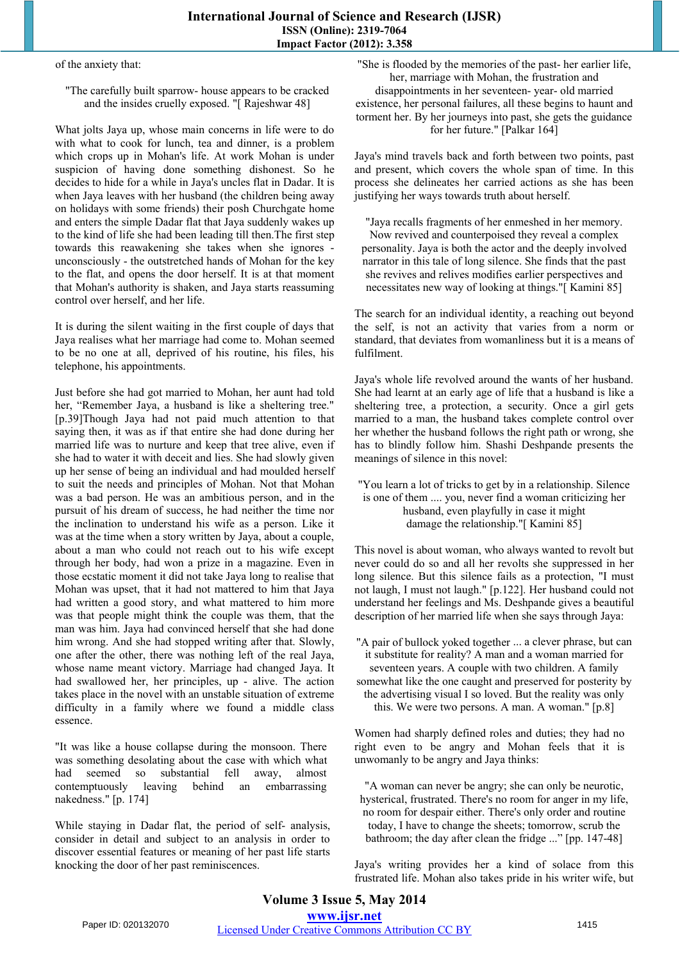of the anxiety that:

#### "The carefully built sparrow- house appears to be cracked and the insides cruelly exposed. "[ Rajeshwar 48]

What jolts Jaya up, whose main concerns in life were to do with what to cook for lunch, tea and dinner, is a problem which crops up in Mohan's life. At work Mohan is under suspicion of having done something dishonest. So he decides to hide for a while in Jaya's uncles flat in Dadar. It is when Jaya leaves with her husband (the children being away on holidays with some friends) their posh Churchgate home and enters the simple Dadar flat that Jaya suddenly wakes up to the kind of life she had been leading till then.The first step towards this reawakening she takes when she ignores unconsciously - the outstretched hands of Mohan for the key to the flat, and opens the door herself. It is at that moment that Mohan's authority is shaken, and Jaya starts reassuming control over herself, and her life.

It is during the silent waiting in the first couple of days that Jaya realises what her marriage had come to. Mohan seemed to be no one at all, deprived of his routine, his files, his telephone, his appointments.

Just before she had got married to Mohan, her aunt had told her, "Remember Jaya, a husband is like a sheltering tree." [p.39]Though Jaya had not paid much attention to that saying then, it was as if that entire she had done during her married life was to nurture and keep that tree alive, even if she had to water it with deceit and lies. She had slowly given up her sense of being an individual and had moulded herself to suit the needs and principles of Mohan. Not that Mohan was a bad person. He was an ambitious person, and in the pursuit of his dream of success, he had neither the time nor the inclination to understand his wife as a person. Like it was at the time when a story written by Jaya, about a couple, about a man who could not reach out to his wife except through her body, had won a prize in a magazine. Even in those ecstatic moment it did not take Jaya long to realise that Mohan was upset, that it had not mattered to him that Jaya had written a good story, and what mattered to him more was that people might think the couple was them, that the man was him. Jaya had convinced herself that she had done him wrong. And she had stopped writing after that. Slowly, one after the other, there was nothing left of the real Jaya, whose name meant victory. Marriage had changed Jaya. It had swallowed her, her principles, up - alive. The action takes place in the novel with an unstable situation of extreme difficulty in a family where we found a middle class essence.

"It was like a house collapse during the monsoon. There was something desolating about the case with which what had seemed so substantial fell away, almost contemptuously leaving behind an embarrassing nakedness." [p. 174]

While staying in Dadar flat, the period of self- analysis, consider in detail and subject to an analysis in order to discover essential features or meaning of her past life starts knocking the door of her past reminiscences.

"She is flooded by the memories of the past- her earlier life, her, marriage with Mohan, the frustration and disappointments in her seventeen- year- old married existence, her personal failures, all these begins to haunt and torment her. By her journeys into past, she gets the guidance for her future." [Palkar 164]

Jaya's mind travels back and forth between two points, past and present, which covers the whole span of time. In this process she delineates her carried actions as she has been justifying her ways towards truth about herself.

"Jaya recalls fragments of her enmeshed in her memory. Now revived and counterpoised they reveal a complex personality. Jaya is both the actor and the deeply involved narrator in this tale of long silence. She finds that the past she revives and relives modifies earlier perspectives and necessitates new way of looking at things."[ Kamini 85]

The search for an individual identity, a reaching out beyond the self, is not an activity that varies from a norm or standard, that deviates from womanliness but it is a means of fulfilment.

Jaya's whole life revolved around the wants of her husband. She had learnt at an early age of life that a husband is like a sheltering tree, a protection, a security. Once a girl gets married to a man, the husband takes complete control over her whether the husband follows the right path or wrong, she has to blindly follow him. Shashi Deshpande presents the meanings of silence in this novel:

"You learn a lot of tricks to get by in a relationship. Silence is one of them .... you, never find a woman criticizing her husband, even playfully in case it might damage the relationship."[ Kamini 85]

This novel is about woman, who always wanted to revolt but never could do so and all her revolts she suppressed in her long silence. But this silence fails as a protection, "I must not laugh, I must not laugh." [p.122]. Her husband could not understand her feelings and Ms. Deshpande gives a beautiful description of her married life when she says through Jaya:

"A pair of bullock yoked together ... a clever phrase, but can it substitute for reality? A man and a woman married for seventeen years. A couple with two children. A family somewhat like the one caught and preserved for posterity by the advertising visual I so loved. But the reality was only this. We were two persons. A man. A woman." [p.8]

Women had sharply defined roles and duties; they had no right even to be angry and Mohan feels that it is unwomanly to be angry and Jaya thinks:

"A woman can never be angry; she can only be neurotic, hysterical, frustrated. There's no room for anger in my life, no room for despair either. There's only order and routine today, I have to change the sheets; tomorrow, scrub the bathroom; the day after clean the fridge ..." [pp. 147-48]

Jaya's writing provides her a kind of solace from this frustrated life. Mohan also takes pride in his writer wife, but